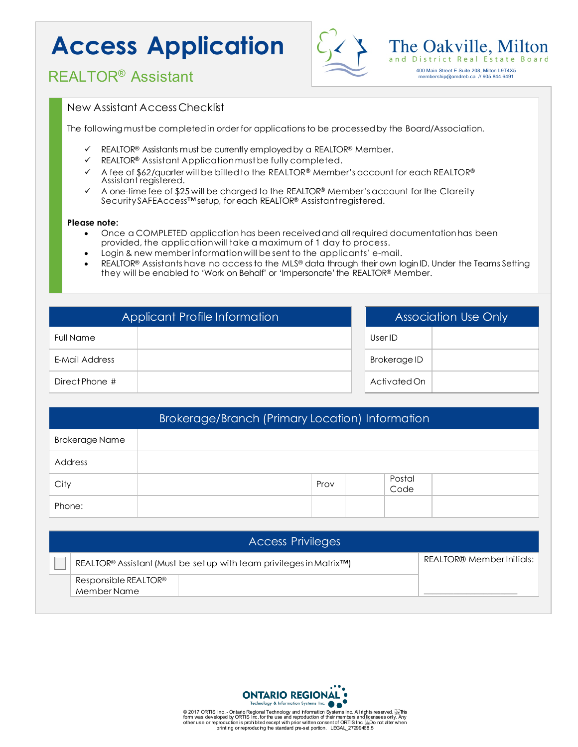# **Access Application**



### New Assistant Access Checklist

The following must be completed in order for applications to be processed by the Board/Association.

- $\checkmark$  REALTOR® Assistants must be currently employed by a REALTOR® Member.
- $\checkmark$  REALTOR® Assistant Application must be fully completed.
- $\checkmark$  A fee of \$62/quarter will be billed to the REALTOR® Member's account for each REALTOR® Assistant registered.
- $\checkmark$  A one-time fee of \$25 will be charged to the REALTOR® Member's account for the Clareity SecuritySAFEAccess™setup, for each REALTOR® Assistant registered.

### **Please note:**

- Once a COMPLETED application has been receivedand all required documentationhas been provided, the application will take a maximum of 1 day to process.
- Login & new member information will be sent to the applicants' e-mail.
- REALTOR® Assistants have no access to the MLS® data through their own login ID. Under the Teams Setting they will be enabled to 'Work on Behalf' or 'Impersonate'the REALTOR® Member.

| Applicant Profile Information |  | <b>Association Use Only</b> |  |
|-------------------------------|--|-----------------------------|--|
| <b>Full Name</b>              |  | UserID                      |  |
| E-Mail Address                |  | Brokerage ID                |  |
| Direct Phone #                |  | Activated On                |  |

| Brokerage/Branch (Primary Location) Information |  |      |  |                |  |  |
|-------------------------------------------------|--|------|--|----------------|--|--|
| <b>Brokerage Name</b>                           |  |      |  |                |  |  |
| Address                                         |  |      |  |                |  |  |
| City                                            |  | Prov |  | Postal<br>Code |  |  |
| Phone:                                          |  |      |  |                |  |  |

| <b>Access Privileges</b>                                            |                           |
|---------------------------------------------------------------------|---------------------------|
| REALTOR® Assistant (Must be set up with team privileges in Matrix™) | REALTOR® Member Initials: |
| Responsible REALTOR®<br>Member Name                                 |                           |



© 2017 ORTIS Inc. - Ontario Regional Technology and Information Systems Inc. All rights reserved. طابی The System I<br>form was developed by ORTIS Inc. for the use and reproduction of their members and Iicensees only. Any<br>ot printing or reproducing the standard pre-set portion. LEGAL\_27299468.5